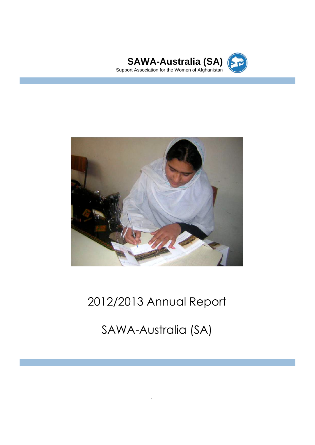



# 2012/2013 Annual Report

SAWA-Australia (SA)

Annual Report 2011/12 1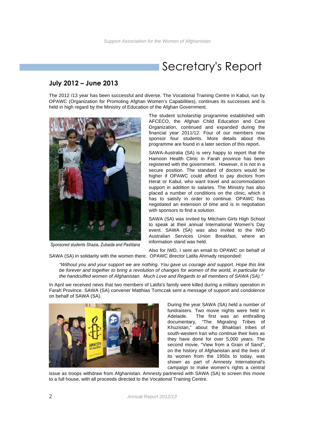## Secretary's Report

### **July 2012 – June 2013**

The 2012 /13 year has been successful and diverse. The Vocational Training Centre in Kabul, run by OPAWC (Organization for Promoting Afghan Women's Capabilities), continues its successes and is held in high regard by the Ministry of Education of the Afghan Government.



*Sponsored students Shazia, Zubaida and Pashtana*

The student scholarship programme established with AFCECO, the Afghan Child Education and Care Organization, continued and expanded during the financial year 2011/12. Four of our members now sponsor four students. More details about this programme are found in a later section of this report.

SAWA-Australia (SA) is very happy to report that the Hamoon Health Clinic in Farah province has been registered with the government. However, it is not in a secure position. The standard of doctors would be higher if OPAWC could afford to pay doctors from Herat or Kabul, who want travel and accommodation support in addition to salaries. The Ministry has also placed a number of conditions on the clinic, which it has to satisfy in order to continue. OPAWC has negotiated an extension of time and is in negotiation with sponsors to find a solution.

SAWA (SA) was invited by Mitcham Girls High School to speak at their annual International Women's Day event. SAWA (SA) was also invited to the IWD Australian Services Union Breakfast, where an information stand was held.

Also for IWD, I sent an email to OPAWC on behalf of SAWA (SA) in solidarity with the women there. OPAWC director Latifa Ahmady responded:

"Without you and your support we are nothing. You gave us courage and support. Hope this link be forever and together to bring a revolution of changes for women of the world, in particular for the handcuffed women of Afghanistan. Much Love and Regards to all members of SAWA (SA)."

In April we received news that two members of Latifa's family were killed during a military operation in Farah Province. SAWA (SA) convener Matthias Tomczak sent a message of support and condolence on behalf of SAWA (SA).



During the year SAWA (SA) held a number of fundraisers. Two movie nights were held in Adelaide. The first was an enthralling documentary, "The Migrating Tribes of Khuzistan," about the Bhaktiari tribes of south-western Iran who continue their lives as they have done for over 5,000 years. The second movie. "View from a Grain of Sand". on the history of Afghanistan and the lives of its women from the 1950s to today, was shown as part of Amnesty International's campaign to make women's rights a central

issue as troops withdraw from Afghanistan. Amnesty partnered with SAWA (SA) to screen this movie to a full house, with all proceeds directed to the Vocational Training Centre.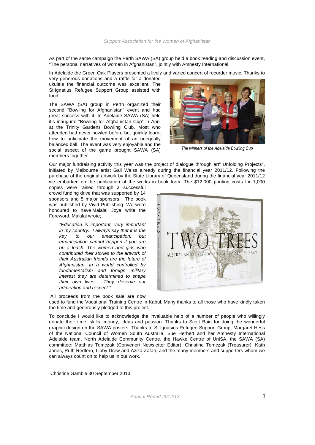As part of the same campaign the Perth SAWA (SA) group held a book reading and discussion event, "The personal narratives of women in Afghanistan", jointly with Amnesty International.

In Adelaide the Green Oak Players presented a lively and varied concert of recorder music. Thanks to

very generous donations and a raffle for a donated ukulele the financial outcome was excellent. The St Ignatius Refugee Support Group assisted with food.

The SAWA (SA) group in Perth organized their second "Bowling for Afghanistan" event and had great success with it. In Adelaide SAWA (SA) held it's inaugural "Bowling for Afghanistan Cup" in April at the Trinity Gardens Bowling Club. Most who attended had never bowled before but quickly learnt how to anticipate the movement of an unequally balanced ball. The event was very enjoyable and the social aspect of the game brought SAWA (SA) members together.



*The winners of the Adelaide Bowling Cup*

Our major fundraising activity this year was the project of dialogue through art" Unfolding Projects", initiated by Melbourne artist Gali Weiss already during the financial year 2011/12. Following the purchase of the original artwork by the State Library of Queensland during the financial year 2011/12 we embarked on the publication of the works in book form. The \$12,000 printing costs for 1,000

copies were raised through a successful crowd funding drive that was supported by 14 sponsors and 5 major sponsors. The book was published by Vivid Publishing. We were honoured to have Malalai Joya write the Foreword. Malalai wrote;

> "Education is important, very important in my country. I always say that it is the key to our emancipation, but emancipation cannot happen if you are on a leash. The women and girls who contributed their stories to the artwork of their Australian friends are the future of Afghanistan. In a world controlled by fundamentalism and foreign military interest they are determined to shape their own lives. They deserve our admiration and respect."



All proceeds from the book sale are now used to fund the Vocational Training Centre in Kabul. Many thanks to all those who have kindly taken the time and generously pledged to this project.

To conclude I would like to acknowledge the invaluable help of a number of people who willingly donate their time, skills, money, ideas and passion. Thanks to Scott Bain for doing the wonderful graphic design on the SAWA posters. Thanks to St Ignasius Refugee Support Group, Margaret Hess of the National Council of Women South Australia, Sue Herbert and her Amnesty International Adelaide team, North Adelaide Community Centre, the Hawke Centre of UniSA, the SAWA (SA) committee: Matthias Tomczak (Convener/ Newsletter Editor), Christine Tomczak (Treasurer), Kath Jones, Ruth Redfern, Libby Drew and Aziza Zafari; and the many members and supporters whom we can always count on to help us in our work.

Christine Gamble 30 September 2013

Annual Report 2012/13 3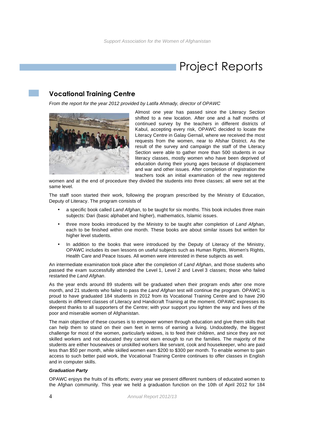## Project Reports

### **Vocational Training Centre**

From the report for the year 2012 provided by Latifa Ahmady, director of OPAWC



Almost one year has passed since the Literacy Section shifted to a new location. After one and a half months of continued survey by the teachers in different districts of Kabul, accepting every risk, OPAWC decided to locate the Literacy Centre in Galay Gernail, where we received the most requests from the women, near to Afshar District. As the result of the survey and campaign the staff of the Literacy Section were able to gather more than 500 students in our literacy classes, mostly women who have been deprived of education during their young ages because of displacement and war and other issues. After completion of registration the teachers took an initial examination of the new registered

women and at the end of procedure they divided the students into three classes; all were set at the same level.

The staff soon started their work, following the program prescribed by the Ministry of Education, Deputy of Literacy. The program consists of

- a specific book called Land Afghan, to be taught for six months. This book includes three main subjects: Dari (basic alphabet and higher), mathematics, Islamic issues.
- three more books introduced by the Ministry to be taught after completion of Land Afghan, each to be finished within one month. These books are about similar issues but written for higher level students.
- In addition to the books that were introduced by the Deputy of Literacy of the Ministry, OPAWC includes its own lessons on useful subjects such as Human Rights, Women's Rights, Health Care and Peace Issues. All women were interested in these subjects as well.

An intermediate examination took place after the completion of Land Afghan, and those students who passed the exam successfully attended the Level 1, Level 2 and Level 3 classes; those who failed restarted the Land Afghan.

As the year ends around 89 students will be graduated when their program ends after one more month, and 21 students who failed to pass the Land Afghan test will continue the program. OPAWC is proud to have graduated 184 students in 2012 from its Vocational Training Centre and to have 290 students in different classes of Literacy and Handicraft Training at the moment. OPAWC expresses its deepest thanks to all supporters of the Centre; with your support you lighten the way and lives of the poor and miserable women of Afghanistan.

The main objective of these courses is to empower women through education and give them skills that can help them to stand on their own feet in terms of earning a living. Undoubtedly, the biggest challenge for most of the women, particularly widows, is to feed their children, and since they are not skilled workers and not educated they cannot earn enough to run the families. The majority of the students are either housewives or unskilled workers like servant, cook and housekeeper, who are paid less than \$50 per month, while skilled women earn \$200 to \$300 per month. To enable women to gain access to such better paid work, the Vocational Training Centre continues to offer classes in English and in computer skills.

### **Graduation Party**

OPAWC enjoys the fruits of its efforts; every year we present different numbers of educated women to the Afghan community. This year we held a graduation function on the 10th of April 2012 for 184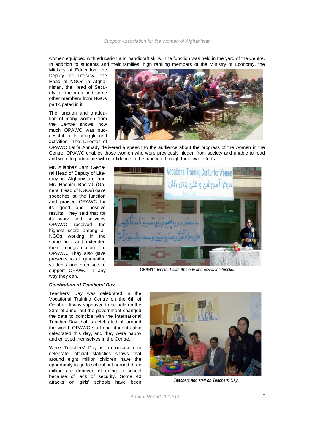women equipped with education and handicraft skills. The function was held in the yard of the Centre. In addition to students and their families, high ranking members of the Ministry of Economy, the

Ministry of Education, the Deputy of Literacy, the Head of NGOs in Afghanistan, the Head of Security for the area and some other members from NGOs participated in it.

The function and graduation of many women from the Centre shows how much OPAWC was successful in its struggle and activities. The Director of



OPAWC Latifa Ahmady delivered a speech to the audience about the progress of the women in the Centre. OPAWC enables those women who were previously hidden from society and unable to read and write to participate with confidence in the function through their own efforts.

Mr. Allahbaz Jam (General Head of Deputy of Literacy in Afghanistan) and Mr. Hashim Basirat (General Head of NGOs) gave speeches at the function and praised OPAWC for its good and positive results. They said that for its work and activities OPAWC received the highest score among all NGOs working in the same field and extended their congratulation to OPAWC. They also gave presents to all graduating students and promised to support OPAWC in any way they can.



*OPAWC director Latifa Ahmady addresses the function*

### **Celebration of Teachers' Day**

Teachers' Day was celebrated in the Vocational Training Centre on the 6th of October. It was supposed to be held on the 23rd of June, but the government changed the date to coincide with the International Teacher Day that is celebrated all around the world. OPAWC staff and students also celebrated this day, and they were happy and enjoyed themselves in the Centre.

While Teachers' Day is an occasion to celebrate, official statistics shows that around eight million children have the opportunity to go to school but around three million are deprived of going to school because of lack of security. Some 40 attacks on girls' schools have been



*Teachers and staff on Teachers' Day*

Annual Report 2012/13 5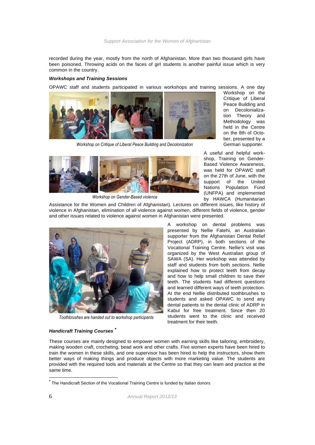recorded during the year, mostly from the north of Afghanistan. More than two thousand girls have been poisoned. Throwing acids on the faces of girl students is another painful issue which is very common in the country.

### **Workshops and Training Sessions**

OPAWC staff and students participated in various workshops and training sessions. A one day



 *Workshop on Critique of Liberal Peace Building and Decolonization*



 *Workshop on Gender-Based violence*

Assistance for the Women and Children of Afghanistan). Lectures on different issues, like history of violence in Afghanistan, elimination of all violence against women, different fields of violence, gender and other issues related to violence against women in Afghanistan were presented.

> A workshop on dental problems was presented by Nellie Fatehi, an Australian supporter from the Afghanistan Dental Relief Project (ADRP), in both sections of the Vocational Training Centre. Nellie's visit was organized by the West Australian group of SAWA (SA). Her workshop was attended by staff and students from both sections. Nellie explained how to protect teeth from decay and how to help small children to save their teeth. The students had different questions and learned different ways of teeth protection. At the end Nellie distributed toothbrushes to students and asked OPAWC to send any dental patients to the dental clinic of ADRP in Kabul for free treatment. Since then 20 students went to the clinic and received treatment for their teeth.

Workshop on the Critique of Liberal Peace Building and on Decolonialization Theory and Methodology was held in the Centre on the 8th of October, presented by a German supporter.

A useful and helpful workshop, Training on Gender-Based Violence Awareness, was held for OPAWC staff on the 27th of June, with the support of the United Nations Population Fund (UNFPA) and implemented by HAWCA (Humanitarian



*Toothbrushes are handed out to workshop participants*

#### **Handicraft Training Courses \***

These courses are mainly designed to empower women with earning skills like tailoring, embroidery, making wooden craft, crocheting, bead work and other crafts. Five women experts have been hired to train the women in these skills, and one supervisor has been hired to help the instructors, show them better ways of making things and produce objects with more marketing value. The students are provided with the required tools and materials at the Centre so that they can learn and practice at the same time.

**\*** The Handicraft Section of the Vocational Training Centre is funded by Italian donors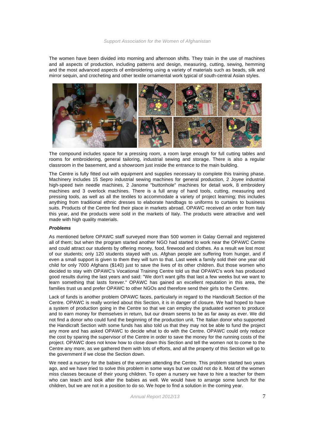The women have been divided into morning and afternoon shifts. They train in the use of machines and all aspects of production, including patterns and design, measuring, cutting, sewing, hemming and the most advanced aspects of embroidering using a variety of materials such as beads, silk and mirror sequin, and crocheting and other textile ornamental work typical of south-central Asian styles.



The compound includes space for a pressing room, a room large enough for full cutting tables and rooms for embroidering, general tailoring, industrial sewing and storage. There is also a regular classroom in the basement, and a showroom just inside the entrance to the main building.

The Centre is fully fitted out with equipment and supplies necessary to complete this training phase. Machinery includes 15 Sepro industrial sewing machines for general production, 2 Joyee industrial high-speed twin needle machines, 2 Janome "buttonhole" machines for detail work, 8 embroidery machines and 3 overlock machines. There is a full array of hand tools, cutting, measuring and pressing tools, as well as all the textiles to accommodate a variety of project learning; this includes anything from traditional ethnic dresses to elaborate handbags to uniforms to curtains to business suits. Products of the Centre find their place in markets abroad. OPAWC received an order from Italy this year, and the products were sold in the markets of Italy. The products were attractive and well made with high quality materials.

### **Problems**

As mentioned before OPAWC staff surveyed more than 500 women in Galay Gernail and registered all of them; but when the program started another NGO had started to work near the OPAWC Centre and could attract our students by offering money, food, firewood and clothes. As a result we lost most of our students; only 120 students stayed with us. Afghan people are suffering from hunger, and if even a small support is given to them they will turn to that. Last week a family sold their one year old child for only 7000 Afghans (\$140) just to save the lives of its other children. But those women who decided to stay with OPAWC's Vocational Training Centre told us that OPAWC's work has produced good results during the last years and said: "We don't want gifts that last a few weeks but we want to learn something that lasts forever." OPAWC has gained an excellent reputation in this area, the families trust us and prefer OPAWC to other NGOs and therefore send their girls to the Centre.

Lack of funds is another problem OPAWC faces, particularly in regard to the Handicraft Section of the Centre. OPAWC is really worried about this Section, it is in danger of closure. We had hoped to have a system of production going in the Centre so that we can employ the graduated women to produce and to earn money for themselves in return, but our dream seems to be as far away as ever. We did not find a donor who could fund the beginning of the production unit. The Italian donor who supported the Handicraft Section with some funds has also told us that they may not be able to fund the project any more and has asked OPAWC to decide what to do with the Centre. OPAWC could only reduce the cost by sparing the supervisor of the Centre in order to save the money for the running costs of the project. OPAWC does not know how to close down this Section and tell the women not to come to the Centre any more, as we gathered them with lots of efforts, and all the property of this Section will go to the government if we close the Section down.

We need a nursery for the babies of the women attending the Centre. This problem started two years ago, and we have tried to solve this problem in some ways but we could not do it. Most of the women miss classes because of their young children. To open a nursery we have to hire a teacher for them who can teach and look after the babies as well. We would have to arrange some lunch for the children, but we are not in a position to do so. We hope to find a solution in the coming year.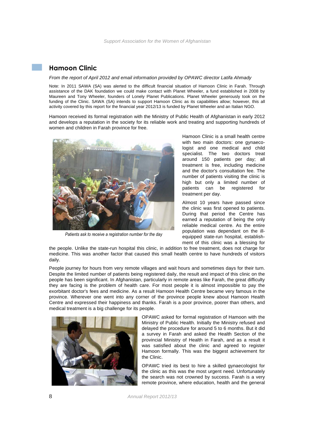### **Hamoon Clinic**

### From the report of April 2012 and email information provided by OPAWC director Latifa Ahmady

Note: In 2011 SAWA (SA) was alerted to the difficult financial situation of Hamoon Clinic in Farah. Through assistance of the DAK foundation we could make contact with Planet Wheeler, a fund established in 2008 by Maureen and Tony Wheeler, founders of Lonely Planet Publications. Planet Wheeler generously took on the funding of the Clinic. SAWA (SA) intends to support Hamoon Clinic as its capabilities allow; however, this all activity covered by this report for the financial year 2012/13 is funded by Planet Wheeler and an Italian NGO.

Hamoon received its formal registration with the Ministry of Public Health of Afghanistan in early 2012 and develops a reputation in the society for its reliable work and treating and supporting hundreds of women and children in Farah province for free.



*Patients ask to receive a registration number for the day*

Hamoon Clinic is a small health centre with two main doctors: one gynaecologist and one medical and child specialist. The two doctors treat around 150 patients per day; all treatment is free, including medicine and the doctor's consultation fee. The number of patients visiting the clinic is high but only a limited number of patients can be registered for treatment per day.

Almost 10 years have passed since the clinic was first opened to patients. During that period the Centre has earned a reputation of being the only reliable medical centre. As the entire population was dependant on the illequipped state-run hospital, establishment of this clinic was a blessing for

the people. Unlike the state-run hospital this clinic, in addition to free treatment, does not charge for medicine. This was another factor that caused this small health centre to have hundreds of visitors daily.

People journey for hours from very remote villages and wait hours and sometimes days for their turn. Despite the limited number of patients being registered daily, the result and impact of this clinic on the people has been significant. In Afghanistan, particularly in remote areas like Farah, the great difficulty they are facing is the problem of health care. For most people it is almost impossible to pay the exorbitant doctor's fees and medicine. As a result Hamoon Health Centre became very famous in the province. Wherever one went into any corner of the province people knew about Hamoon Health Centre and expressed their happiness and thanks. Farah is a poor province, poorer than others, and medical treatment is a big challenge for its people.



OPAWC asked for formal registration of Hamoon with the Ministry of Public Health. Initially the Ministry refused and delayed the procedure for around 5 to 6 months. But it did a survey in Farah and asked the Health Section of the provincial Ministry of Health in Farah, and as a result it was satisfied about the clinic and agreed to register Hamoon formally. This was the biggest achievement for the Clinic.

OPAWC tried its best to hire a skilled gynaecologist for the clinic as this was the most urgent need. Unfortunately the search was not crowned by success. Farah is a very remote province, where education, health and the general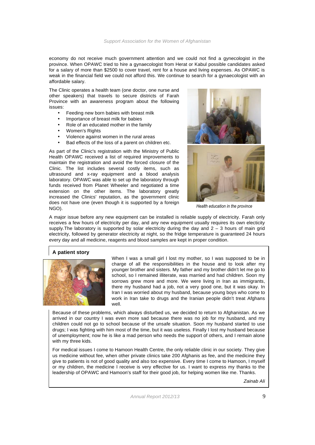economy do not receive much government attention and we could not find a gynecologist in the province. When OPAWC tried to hire a gynaecologist from Herat or Kabul possible candidates asked for a salary of more than \$2500 to cover travel, rent for a house and living expenses. As OPAWC is weak in the financial field we could not afford this. We continue to search for a gynaecologist with an affordable salary.

The Clinic operates a health team (one doctor, one nurse and other speakers) that travels to secure districts of Farah Province with an awareness program about the following issues:

- Feeding new born babies with breast milk
- Importance of breast milk for babies
- Role of an educated mother in the family
- Women's Rights
- Violence against women in the rural areas
- Bad effects of the loss of a parent on children etc.

As part of the Clinic's registration with the Ministry of Public Health OPAWC received a list of required improvements to maintain the registration and avoid the forced closure of the Clinic. The list includes several costly items, such as ultrasound and x-ray equipment and a blood analysis laboratory. OPAWC was able to set up the laboratory through funds received from Planet Wheeler and negotiated a time extension on the other items. The laboratory greatly increased the Clinics' reputation, as the government clinic does not have one (even though it is supported by a foreign NGO).



*Health education in the province*

A major issue before any new equipment can be installed is reliable supply of electricity. Farah only receives a few hours of electricity per day, and any new equipment usually requires its own electicity supply. The laboratory is supported by solar electricity during the day and  $2 - 3$  hours of main grid electricity, followed by generator electricity at night, so the fridge temperature is guaranteed 24 hours every day and all medicine, reagents and blood samples are kept in proper condition.

### **A patient story**



When I was a small girl I lost my mother, so I was supposed to be in charge of all the responsibilities in the house and to look after my younger brother and sisters. My father and my brother didn't let me go to school, so I remained illiterate, was married and had children. Soon my sorrows grew more and more. We were living in Iran as immigrants, there my husband had a job, not a very good one, but it was okay. In Iran I was worried about my husband, because young boys who come to work in Iran take to drugs and the Iranian people didn't treat Afghans well.

Because of these problems, which always disturbed us, we decided to return to Afghanistan. As we arrived in our country I was even more sad because there was no job for my husband, and my children could not go to school because of the unsafe situation. Soon my husband started to use drugs; I was fighting with him most of the time, but it was useless. Finally I lost my husband because of unemployment; now he is like a mad person who needs the support of others, and I remain alone with my three kids.

For medical issues I come to Hamoon Health Centre, the only reliable clinic in our society. They give us medicine without fee, when other private clinics take 200 Afghanis as fee, and the medicine they give to patients is not of good quality and also too expensive. Every time I come to Hamoon, I myself or my children, the medicine I receive is very effective for us. I want to express my thanks to the leadership of OPAWC and Hamoon's staff for their good job, for helping women like me. Thanks.

Zainab Ali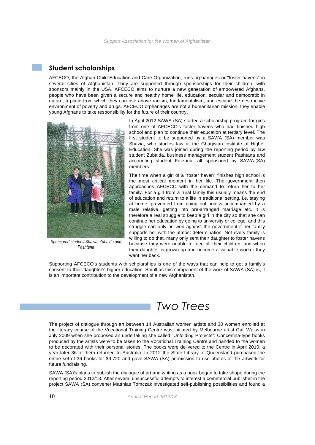### **Student scholarships**

AFCECO, the Afghan Child Education and Care Organization, runs orphanages or "foster havens" in several cities of Afghanistan. They are supported through sponsorships for their children, with sponsors mainly in the USA. AFCECO aims to nurture a new generation of empowered Afghans, people who have been given a secure and healthy home life, education, secular and democratic in nature, a place from which they can rise above racism, fundamentalism, and escape the destructive environment of poverty and drugs. AFCECO orphanages are not a humanitarian mission, they enable young Afghans to take responsibility for the future of their country.



*Sponsored studentsShazia, Zubaida and Pashtana*

In April 2012 SAWA (SA) started a scholarship program for girls from one of AFCECO's foster havens who had finished high school and plan to continue their education at tertiary level. The first student to be supported by a SAWA (SA) member was Shazia, who studies law at the Gharjistan Institute of Higher Education. She was joined during the reporting period by law student Zubaida, business management student Pashtana and accounting student Farzana, all sponsored by SAWA (SA) members.

The time when a girl of a "foster haven" finishes high school is the most critical moment in her life. The government then approaches AFCECO with the demand to return her to her family. For a girl from a rural family this usually means the end of education and return to a life in traditional setting, i.e. staying at home, prevented from going out unless accompanied by a male relative, getting into pre-arranged marriage etc. It is therefore a real struggle to keep a girl in the city so that she can continue her education by going to university or college, and this struggle can only be won against the government if her family supports her with the utmost determination. Not every family is willing to do that, many only sent their daughter to foster havens because they were unable to feed all their children, and when their daughter is grown up and become a valuable worker they want her back.

Supporting AFCECO's students with scholarships is one of the ways that can help to get a family's consent to their daughter's higher education. Small as this component of the work of SAWA (SA) is, it is an important contribution to the development of a new Afghanistan.

## *Two Trees*

The project of dialogue through art between 14 Australian women artists and 30 women enrolled at the literacy course of the Vocational Training Centre was initiated by Melbourne artist Gali Weiss in July 2009 when she proposed an undertaking she called "Unfolding Projects": Concertina-type books produced by the artists were to be taken to the Vocational Training Centre and handed to the women to be decorated with their personal stories. The books were delivered to the Centre in April 2010; a year later 36 of them returned to Australia. In 2012 the State Library of Queensland purchased the entire set of 36 books for \$9,720 and gave SAWA (SA) permission to use photos of the artwork for future fundraising.

SAWA (SA)'s plans to publish the dialogue of art and writing as a book began to take shape during the reporting period 2012/13. After several unsuccessful attempts to interest a commercial publisher in the project SAWA (SA) convener Matthias Tomczak investigated self-publishing possibilities and found a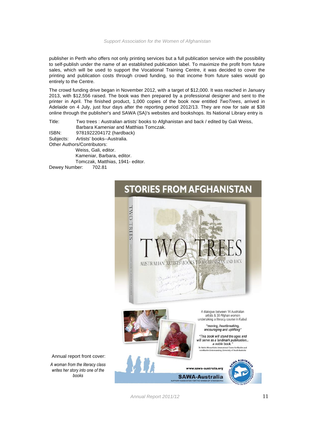publisher in Perth who offers not only printing services but a full publication service with the possibility to self-publish under the name of an established publication label. To maximize the profit from future sales, which will be used to support the Vocational Training Centre, it was decided to cover the printing and publication costs through crowd funding, so that income from future sales would go entirely to the Centre.

The crowd funding drive began in November 2012, with a target of \$12,000. It was reached in January 2013, with \$12,556 raised. The book was then prepared by a professional designer and sent to the printer in April. The finished product, 1,000 copies of the book now entitled TwoTrees, arrived in Adelaide on 4 July, just four days after the reporting period 2012/13. They are now for sale at \$38 online through the publisher's and SAWA (SA)'s websites and bookshops. Its National Library entry is

Title: Two trees : Australian artists' books to Afghanistan and back / edited by Gali Weiss, Barbara Kameniar and Matthias Tomczak. ISBN: 9781922204172 (hardback) Subjects: Artists' books--Australia. Other Authors/Contributors: Weiss, Gali, editor. Kameniar, Barbara, editor. Tomczak, Matthias, 1941- editor.

Dewey Number: 702.81



Annual report front cover:

*A woman from the literacy class writes her story into one of the books*

Annual Report 2011/12 11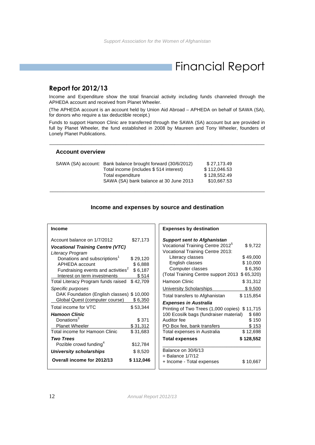## Financial Report

### **Report for 2012/13**

Income and Expenditure show the total financial activity including funds channeled through the APHEDA account and received from Planet Wheeler.

(The APHEDA account is an account held by Union Aid Abroad – APHEDA on behalf of SAWA (SA), for donors who require a tax deductible receipt.)

Funds to support Hamoon Clinic are transferred through the SAWA (SA) account but are provided in full by Planet Wheeler, the fund established in 2008 by Maureen and Tony Wheeler, founders of Lonely Planet Publications.

\_\_\_\_\_\_\_\_\_\_\_\_\_\_\_\_\_\_\_\_\_\_\_\_\_\_\_\_\_\_\_\_\_\_\_\_\_\_\_\_\_\_\_\_\_\_\_\_\_\_\_\_\_\_\_\_\_\_\_\_\_\_\_\_\_\_\_\_\_\_\_\_\_\_\_\_\_\_\_\_\_

### **Account overview**

| SAWA (SA) account: Bank balance brought forward (30/6/2012) | \$27.173.49  |
|-------------------------------------------------------------|--------------|
| Total income (includes \$514 interest)                      | \$112,046.53 |
| Total expenditure                                           | \$128.552.49 |
| SAWA (SA) bank balance at 30 June 2013                      | \$10.667.53  |

### **Income and expenses by source and destination**

\_\_\_\_\_\_\_\_\_\_\_\_\_\_\_\_\_\_\_\_\_\_\_\_\_\_\_\_\_\_\_\_\_\_\_\_\_\_\_\_\_\_\_\_\_\_\_\_\_\_\_\_\_\_\_\_\_\_\_\_\_\_\_\_\_\_\_\_\_\_\_\_\_\_\_\_\_\_\_\_\_

| Income                                                             |                     |
|--------------------------------------------------------------------|---------------------|
| Account balance on 1/7/2012                                        | \$27,173            |
| <b>Vocational Training Centre (VTC)</b><br>Literacy Program        |                     |
| Donations and subscriptions <sup>1</sup>                           | \$29,120            |
| APHEDA account                                                     | \$6,888             |
| Fundraising events and activities <sup>2</sup>                     | \$6,187             |
| Interest on term investments                                       | \$514               |
| Total Literacy Program funds raised                                | \$42,709            |
| Specific purposes                                                  |                     |
| DAK Foundation (English classes)<br>Global Quest (computer course) | \$10,000<br>\$6,350 |
|                                                                    |                     |
| Total income for VTC                                               | \$53,344            |
| <b>Hamoon Clinic</b>                                               |                     |
| Donations $^3$                                                     | \$371               |
| Planet Wheeler                                                     | \$31,312            |
| <b>Total income for Hamoon Clinic</b>                              | \$31,683            |
| Two Trees                                                          |                     |
| Pozible crowd funding <sup>4</sup>                                 | \$12,784            |
| University scholarships                                            | \$8,520             |
| Overall income for 2012/13                                         | \$ 112,046          |

| <b>Expenses by destination</b>                |           |  |  |
|-----------------------------------------------|-----------|--|--|
| <b>Support sent to Afghanistan</b>            |           |  |  |
| Vocational Training Centre 2012 <sup>5</sup>  | \$9,722   |  |  |
| Vocational Training Centre 2013:              |           |  |  |
| Literacy classes                              | \$49,000  |  |  |
| English classes                               | \$10,000  |  |  |
| Computer classes                              | \$6,350   |  |  |
| (Total Training Centre support 2013           | \$65,320  |  |  |
| Hamoon Clinic                                 | \$31,312  |  |  |
| <b>University Scholarships</b>                | \$9,500   |  |  |
| Total transfers to Afghanistan                | \$115,854 |  |  |
| <b>Expenses in Australia</b>                  |           |  |  |
| Printing of Two Trees (1,000 copies) \$11,715 |           |  |  |
| 100 Ecosilk bags (fundraiser material)        | \$680     |  |  |
| Auditor fee                                   | \$150     |  |  |
| PO Box fee, bank transfers                    | \$153     |  |  |
| Total expenses in Australia                   | \$12,698  |  |  |
| <b>Total expenses</b>                         | \$128,552 |  |  |
| Balance on 30/6/13                            |           |  |  |
| $=$ Balance $1/7/12$                          |           |  |  |
| + Income - Total expenses                     | \$ 10,667 |  |  |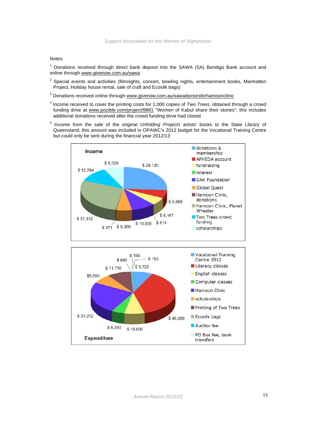Notes:

 $<sup>1</sup>$  Donations received through direct bank deposit into the SAWA (SA) Bendigo Bank account and</sup> online through www.givenow.com.au/sawa

- $2$  Special events and activities (filmnights, concert, bowling nights, entertainment books, Manhatten Project, Holiday house rental, sale of craft and Ecosilk bags)
- <sup>3</sup> Donations received online through www.givenow.com.au/sawadoctorsforhamoonclinic
- $4$  Income received to cover the printing costs for 1,000 copies of Two Trees, obtained through a crowd funding drive at www.pozible.com/project/8881 "Women of Kabul share their stories"; this includes additional donations received after the crowd funding drive had closed
- <sup>5</sup> Income from the sale of the original *Unfolding Projects* artists' books to the State Library of Queensland; this amount was included in OPAWC's 2012 budget for the Vocational Training Centre but could only be sent during the financial year 2012/13